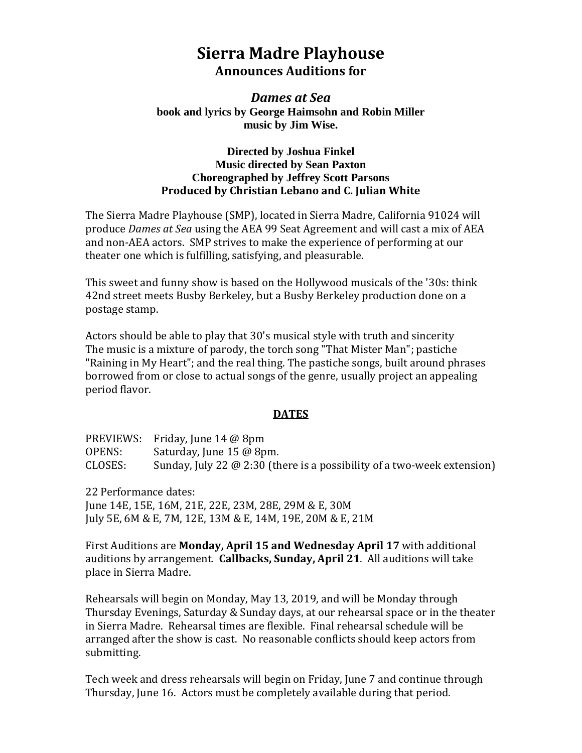# **Sierra Madre Playhouse Announces Auditions for**

## *Dames at Sea* **book and lyrics by George Haimsohn and Robin Miller music by Jim Wise.**

#### **Directed by Joshua Finkel Music directed by Sean Paxton Choreographed by Jeffrey Scott Parsons Produced by Christian Lebano and C. Julian White**

The Sierra Madre Playhouse (SMP), located in Sierra Madre, California 91024 will produce *Dames at Sea* using the AEA 99 Seat Agreement and will cast a mix of AEA and non-AEA actors. SMP strives to make the experience of performing at our theater one which is fulfilling, satisfying, and pleasurable.

This sweet and funny show is based on the Hollywood musicals of the '30s: think 42nd street meets Busby Berkeley, but a Busby Berkeley production done on a postage stamp.

Actors should be able to play that 30's musical style with truth and sincerity The music is a mixture of parody, the torch song "That Mister Man"; pastiche "Raining in My Heart"; and the real thing. The pastiche songs, built around phrases borrowed from or close to actual songs of the genre, usually project an appealing period flavor.

## **DATES**

|         | PREVIEWS: Friday, June 14 @ 8pm                                                |
|---------|--------------------------------------------------------------------------------|
| OPENS:  | Saturday, June 15 @ 8pm.                                                       |
| CLOSES: | Sunday, July 22 $\omega$ 2:30 (there is a possibility of a two-week extension) |

22 Performance dates:

June 14E, 15E, 16M, 21E, 22E, 23M, 28E, 29M & E, 30M July 5E, 6M & E, 7M, 12E, 13M & E, 14M, 19E, 20M & E, 21M

First Auditions are **Monday, April 15 and Wednesday April 17** with additional auditions by arrangement. **Callbacks, Sunday, April 21**. All auditions will take place in Sierra Madre.

Rehearsals will begin on Monday, May 13, 2019, and will be Monday through Thursday Evenings, Saturday & Sunday days, at our rehearsal space or in the theater in Sierra Madre. Rehearsal times are flexible. Final rehearsal schedule will be arranged after the show is cast. No reasonable conflicts should keep actors from submitting.

Tech week and dress rehearsals will begin on Friday, June 7 and continue through Thursday, June 16. Actors must be completely available during that period.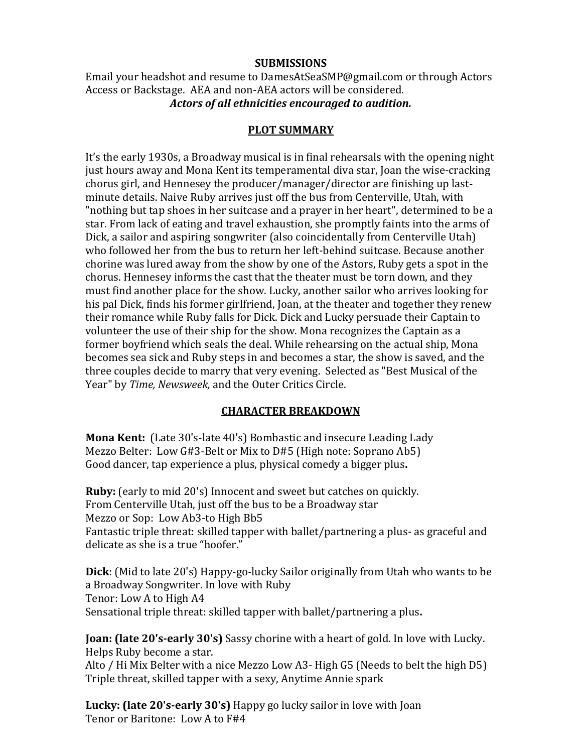#### **SUBMISSIONS**

Email your headshot and resume to DamesAtSeaSMP@gmail.com or through Actors Access or Backstage. AEA and non-AEA actors will be considered. *Actors of all ethnicities encouraged to audition.*

#### **PLOT SUMMARY**

It's the early 1930s, a Broadway musical is in final rehearsals with the opening night just hours away and Mona Kent its temperamental diva star, Joan the wise-cracking chorus girl, and Hennesey the producer/manager/director are finishing up lastminute details. Naive Ruby arrives just off the bus from Centerville, Utah, with "nothing but tap shoes in her suitcase and a prayer in her heart", determined to be a star. From lack of eating and travel exhaustion, she promptly faints into the arms of Dick, a sailor and aspiring songwriter (also coincidentally from Centerville Utah) who followed her from the bus to return her left-behind suitcase. Because another chorine was lured away from the show by one of the Astors, Ruby gets a spot in the chorus. Hennesey informs the cast that the theater must be torn down, and they must find another place for the show. Lucky, another sailor who arrives looking for his pal Dick, finds his former girlfriend, Joan, at the theater and together they renew their romance while Ruby falls for Dick. Dick and Lucky persuade their Captain to volunteer the use of their ship for the show. Mona recognizes the Captain as a former boyfriend which seals the deal. While rehearsing on the actual ship, Mona becomes sea sick and Ruby steps in and becomes a star, the show is saved, and the three couples decide to marry that very evening. Selected as "Best Musical of the Year" by *Time, Newsweek,* and the Outer Critics Circle.

## **CHARACTER BREAKDOWN**

**Mona Kent:** (Late 30's-late 40's) Bombastic and insecure Leading Lady Mezzo Belter: Low G#3-Belt or Mix to D#5 (High note: Soprano Ab5) Good dancer, tap experience a plus, physical comedy a bigger plus**.**

**Ruby:** (early to mid 20's) Innocent and sweet but catches on quickly. From Centerville Utah, just off the bus to be a Broadway star Mezzo or Sop: Low Ab3-to High Bb5 Fantastic triple threat: skilled tapper with ballet/partnering a plus- as graceful and delicate as she is a true "hoofer."

**Dick**: (Mid to late 20's) Happy-go-lucky Sailor originally from Utah who wants to be a Broadway Songwriter. In love with Ruby Tenor: Low A to High A4 Sensational triple threat: skilled tapper with ballet/partnering a plus**.**

**Joan: (late 20's-early 30's)** Sassy chorine with a heart of gold. In love with Lucky. Helps Ruby become a star.

Alto / Hi Mix Belter with a nice Mezzo Low A3- High G5 (Needs to belt the high D5) Triple threat, skilled tapper with a sexy, Anytime Annie spark

**Lucky: (late 20's-early 30's)** Happy go lucky sailor in love with Joan Tenor or Baritone: Low A to F#4